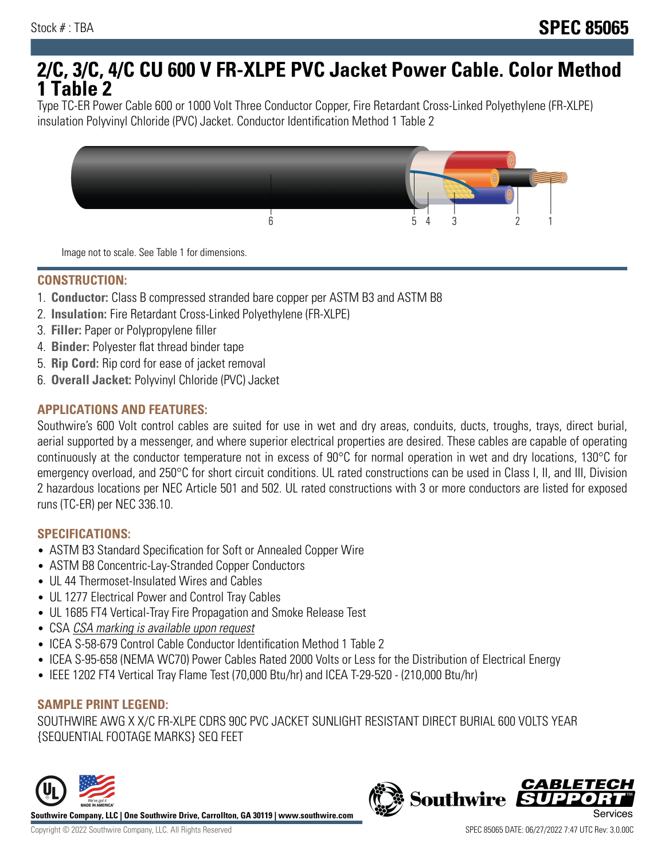# **2/C, 3/C, 4/C CU 600 V FR-XLPE PVC Jacket Power Cable. Color Method 1 Table 2**

Type TC-ER Power Cable 600 or 1000 Volt Three Conductor Copper, Fire Retardant Cross-Linked Polyethylene (FR-XLPE) insulation Polyvinyl Chloride (PVC) Jacket. Conductor Identification Method 1 Table 2



Image not to scale. See Table 1 for dimensions.

#### **CONSTRUCTION:**

- 1. **Conductor:** Class B compressed stranded bare copper per ASTM B3 and ASTM B8
- 2. **Insulation:** Fire Retardant Cross-Linked Polyethylene (FR-XLPE)
- 3. **Filler:** Paper or Polypropylene filler
- 4. **Binder:** Polyester flat thread binder tape
- 5. **Rip Cord:** Rip cord for ease of jacket removal
- 6. **Overall Jacket:** Polyvinyl Chloride (PVC) Jacket

## **APPLICATIONS AND FEATURES:**

Southwire's 600 Volt control cables are suited for use in wet and dry areas, conduits, ducts, troughs, trays, direct burial, aerial supported by a messenger, and where superior electrical properties are desired. These cables are capable of operating continuously at the conductor temperature not in excess of 90°C for normal operation in wet and dry locations, 130°C for emergency overload, and 250°C for short circuit conditions. UL rated constructions can be used in Class I, II, and III, Division 2 hazardous locations per NEC Article 501 and 502. UL rated constructions with 3 or more conductors are listed for exposed runs (TC-ER) per NEC 336.10.

#### **SPECIFICATIONS:**

- ASTM B3 Standard Specification for Soft or Annealed Copper Wire
- ASTM B8 Concentric-Lay-Stranded Copper Conductors
- UL 44 Thermoset-Insulated Wires and Cables
- UL 1277 Electrical Power and Control Tray Cables
- UL 1685 FT4 Vertical-Tray Fire Propagation and Smoke Release Test
- CSA CSA marking is available upon request
- ICEA S-58-679 Control Cable Conductor Identification Method 1 Table 2
- ICEA S-95-658 (NEMA WC70) Power Cables Rated 2000 Volts or Less for the Distribution of Electrical Energy
- IEEE 1202 FT4 Vertical Tray Flame Test (70,000 Btu/hr) and ICEA T-29-520 (210,000 Btu/hr)

#### **SAMPLE PRINT LEGEND:**

SOUTHWIRE AWG X X/C FR-XLPE CDRS 90C PVC JACKET SUNLIGHT RESISTANT DIRECT BURIAL 600 VOLTS YEAR {SEQUENTIAL FOOTAGE MARKS} SEQ FEET